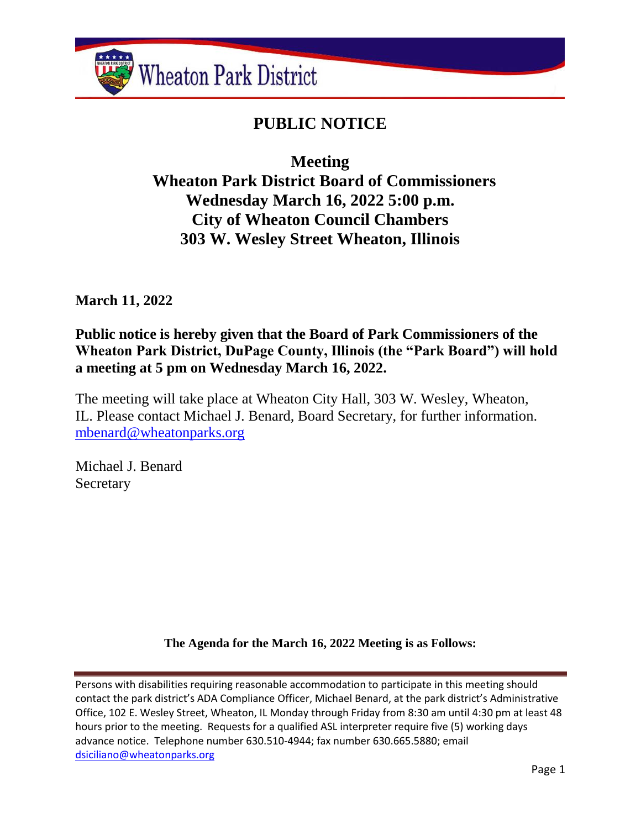

# **PUBLIC NOTICE**

**Meeting**

 **Wheaton Park District Board of Commissioners Wednesday March 16, 2022 5:00 p.m. City of Wheaton Council Chambers 303 W. Wesley Street Wheaton, Illinois**

**March 11, 2022**

**Public notice is hereby given that the Board of Park Commissioners of the Wheaton Park District, DuPage County, Illinois (the "Park Board") will hold a meeting at 5 pm on Wednesday March 16, 2022.**

The meeting will take place at Wheaton City Hall, 303 W. Wesley, Wheaton, IL. Please contact Michael J. Benard, Board Secretary, for further information. [mbenard@wheatonparks.org](mailto:mbenard@wheatonparks.org)

Michael J. Benard **Secretary** 

**The Agenda for the March 16, 2022 Meeting is as Follows:**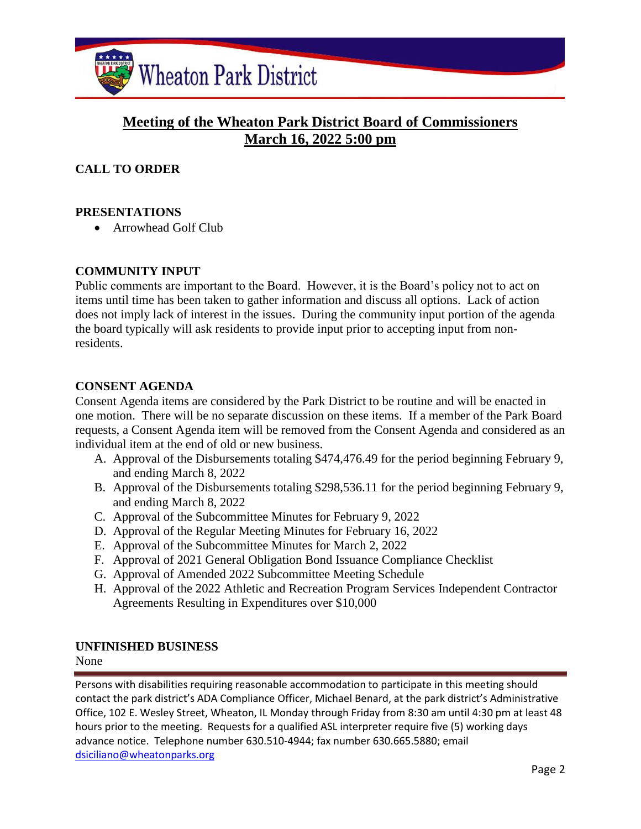

# **Meeting of the Wheaton Park District Board of Commissioners March 16, 2022 5:00 pm**

## **CALL TO ORDER**

#### **PRESENTATIONS**

• Arrowhead Golf Club

#### **COMMUNITY INPUT**

Public comments are important to the Board. However, it is the Board's policy not to act on items until time has been taken to gather information and discuss all options. Lack of action does not imply lack of interest in the issues. During the community input portion of the agenda the board typically will ask residents to provide input prior to accepting input from nonresidents.

#### **CONSENT AGENDA**

Consent Agenda items are considered by the Park District to be routine and will be enacted in one motion. There will be no separate discussion on these items. If a member of the Park Board requests, a Consent Agenda item will be removed from the Consent Agenda and considered as an individual item at the end of old or new business.

- A. Approval of the Disbursements totaling \$474,476.49 for the period beginning February 9, and ending March 8, 2022
- B. Approval of the Disbursements totaling \$298,536.11 for the period beginning February 9, and ending March 8, 2022
- C. Approval of the Subcommittee Minutes for February 9, 2022
- D. Approval of the Regular Meeting Minutes for February 16, 2022
- E. Approval of the Subcommittee Minutes for March 2, 2022
- F. Approval of 2021 General Obligation Bond Issuance Compliance Checklist
- G. Approval of Amended 2022 Subcommittee Meeting Schedule
- H. Approval of the 2022 Athletic and Recreation Program Services Independent Contractor Agreements Resulting in Expenditures over \$10,000

#### **UNFINISHED BUSINESS**

None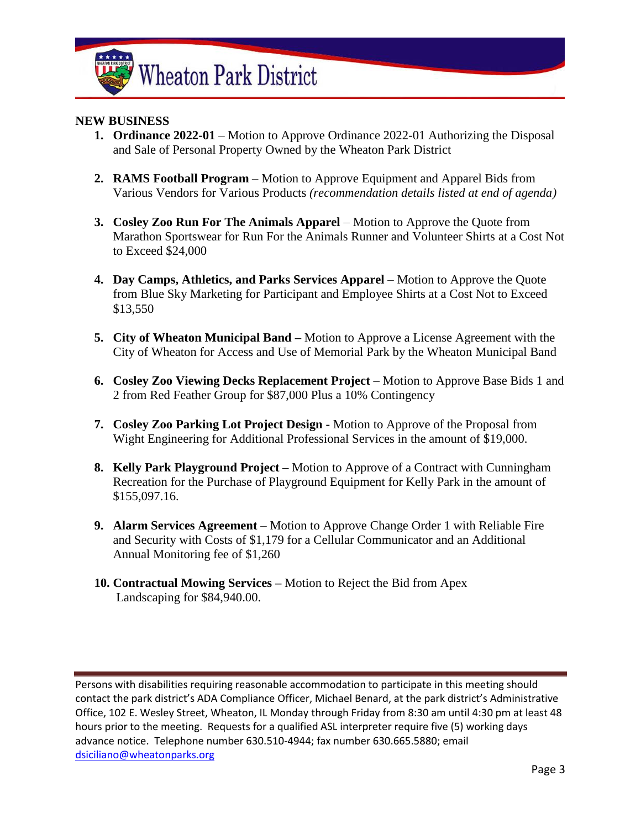

#### **NEW BUSINESS**

- **1. Ordinance 2022-01** Motion to Approve Ordinance 2022-01 Authorizing the Disposal and Sale of Personal Property Owned by the Wheaton Park District
- **2. RAMS Football Program** Motion to Approve Equipment and Apparel Bids from Various Vendors for Various Products *(recommendation details listed at end of agenda)*
- **3. Cosley Zoo Run For The Animals Apparel** Motion to Approve the Quote from Marathon Sportswear for Run For the Animals Runner and Volunteer Shirts at a Cost Not to Exceed \$24,000
- **4. Day Camps, Athletics, and Parks Services Apparel** Motion to Approve the Quote from Blue Sky Marketing for Participant and Employee Shirts at a Cost Not to Exceed \$13,550
- **5. City of Wheaton Municipal Band –** Motion to Approve a License Agreement with the City of Wheaton for Access and Use of Memorial Park by the Wheaton Municipal Band
- **6. Cosley Zoo Viewing Decks Replacement Project** Motion to Approve Base Bids 1 and 2 from Red Feather Group for \$87,000 Plus a 10% Contingency
- **7. Cosley Zoo Parking Lot Project Design -** Motion to Approve of the Proposal from Wight Engineering for Additional Professional Services in the amount of \$19,000.
- **8. Kelly Park Playground Project –** Motion to Approve of a Contract with Cunningham Recreation for the Purchase of Playground Equipment for Kelly Park in the amount of \$155,097.16.
- **9. Alarm Services Agreement**  Motion to Approve Change Order 1 with Reliable Fire and Security with Costs of \$1,179 for a Cellular Communicator and an Additional Annual Monitoring fee of \$1,260
- **10. Contractual Mowing Services –** Motion to Reject the Bid from Apex Landscaping for \$84,940.00.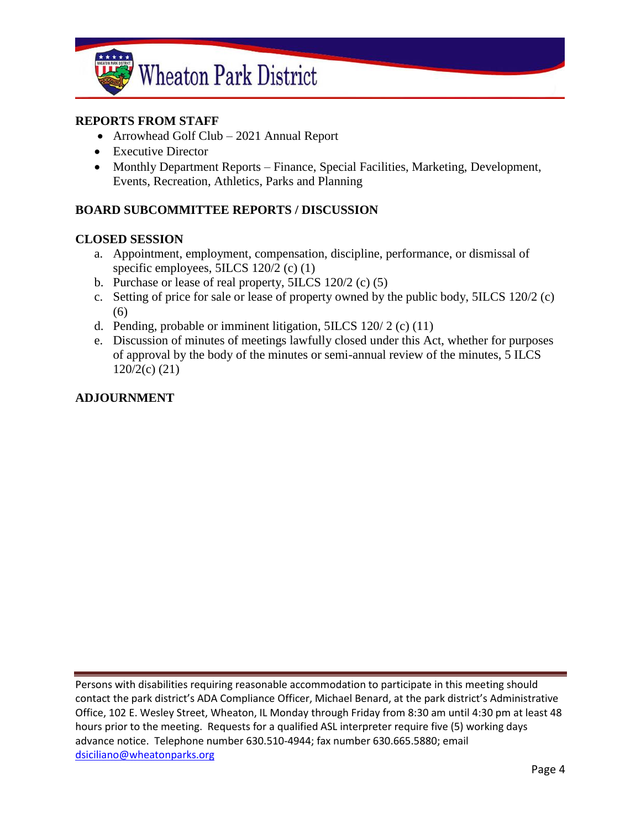

#### **REPORTS FROM STAFF**

- Arrowhead Golf Club 2021 Annual Report
- Executive Director
- Monthly Department Reports Finance, Special Facilities, Marketing, Development, Events, Recreation, Athletics, Parks and Planning

#### **BOARD SUBCOMMITTEE REPORTS / DISCUSSION**

#### **CLOSED SESSION**

- a. Appointment, employment, compensation, discipline, performance, or dismissal of specific employees, 5ILCS 120/2 (c) (1)
- b. Purchase or lease of real property, 5ILCS 120/2 (c) (5)
- c. Setting of price for sale or lease of property owned by the public body, 5ILCS 120/2 (c) (6)
- d. Pending, probable or imminent litigation,  $5ILCS$  120/2 (c) (11)
- e. Discussion of minutes of meetings lawfully closed under this Act, whether for purposes of approval by the body of the minutes or semi-annual review of the minutes, 5 ILCS 120/2(c) (21)

#### **ADJOURNMENT**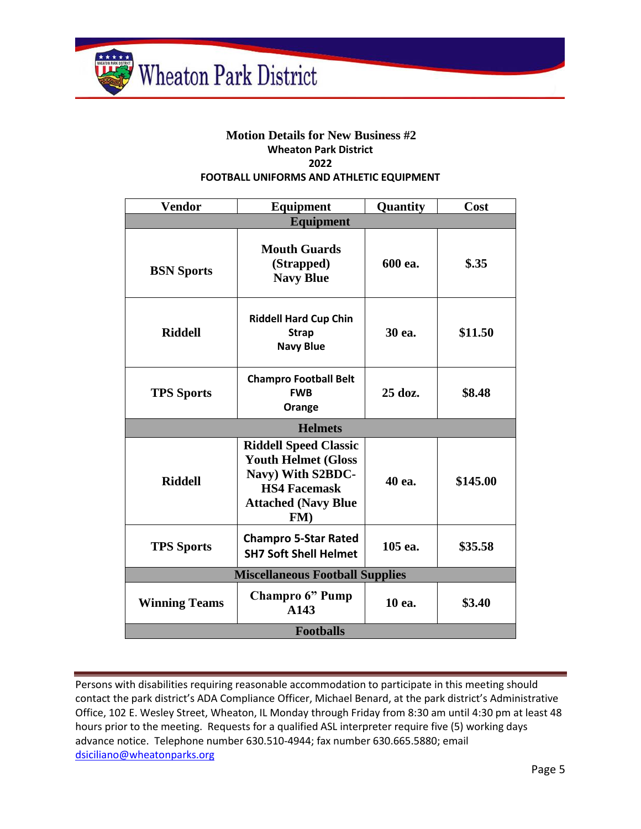

#### **Motion Details for New Business #2 Wheaton Park District 2022 FOOTBALL UNIFORMS AND ATHLETIC EQUIPMENT**

| <b>Vendor</b>                          | <b>Equipment</b>                                                                                                                           | Quantity | Cost     |  |
|----------------------------------------|--------------------------------------------------------------------------------------------------------------------------------------------|----------|----------|--|
| <b>Equipment</b>                       |                                                                                                                                            |          |          |  |
| <b>BSN</b> Sports                      | <b>Mouth Guards</b><br>(Strapped)<br><b>Navy Blue</b>                                                                                      | 600 ea.  | $\$.35$  |  |
| <b>Riddell</b>                         | <b>Riddell Hard Cup Chin</b><br><b>Strap</b><br><b>Navy Blue</b>                                                                           | 30 ea.   | \$11.50  |  |
| <b>TPS Sports</b>                      | <b>Champro Football Belt</b><br><b>FWB</b><br>Orange                                                                                       | 25 doz.  | \$8.48   |  |
| <b>Helmets</b>                         |                                                                                                                                            |          |          |  |
| <b>Riddell</b>                         | <b>Riddell Speed Classic</b><br><b>Youth Helmet (Gloss</b><br>Navy) With S2BDC-<br><b>HS4 Facemask</b><br><b>Attached (Navy Blue</b><br>FM | 40 ea.   | \$145.00 |  |
| <b>TPS Sports</b>                      | <b>Champro 5-Star Rated</b><br><b>SH7 Soft Shell Helmet</b>                                                                                | 105 ea.  | \$35.58  |  |
| <b>Miscellaneous Football Supplies</b> |                                                                                                                                            |          |          |  |
| <b>Winning Teams</b>                   | <b>Champro 6" Pump</b><br>A143                                                                                                             | 10 ea.   | \$3.40   |  |
| <b>Footballs</b>                       |                                                                                                                                            |          |          |  |